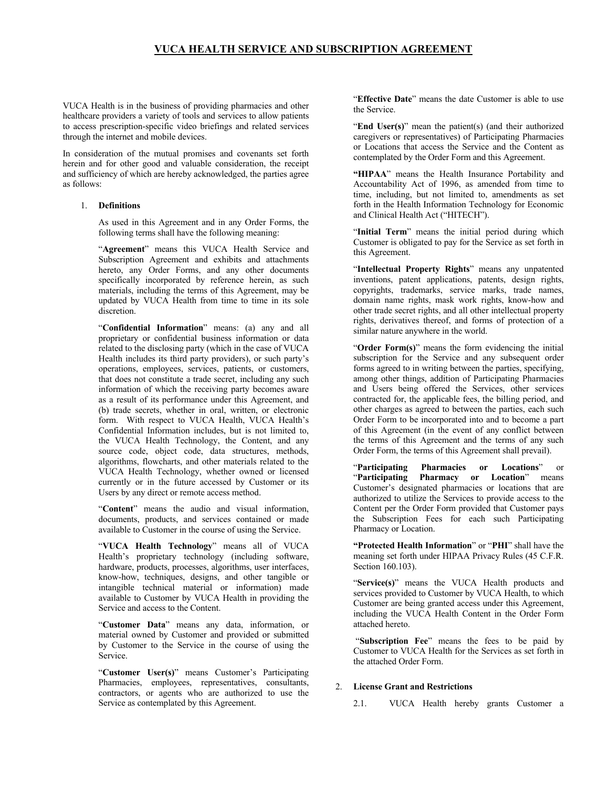# **VUCA HEALTH SERVICE AND SUBSCRIPTION AGREEMENT**

VUCA Health is in the business of providing pharmacies and other healthcare providers a variety of tools and services to allow patients to access prescription-specific video briefings and related services through the internet and mobile devices.

In consideration of the mutual promises and covenants set forth herein and for other good and valuable consideration, the receipt and sufficiency of which are hereby acknowledged, the parties agree as follows:

## 1. **Definitions**

As used in this Agreement and in any Order Forms, the following terms shall have the following meaning:

"**Agreement**" means this VUCA Health Service and Subscription Agreement and exhibits and attachments hereto, any Order Forms, and any other documents specifically incorporated by reference herein, as such materials, including the terms of this Agreement, may be updated by VUCA Health from time to time in its sole discretion.

"**Confidential Information**" means: (a) any and all proprietary or confidential business information or data related to the disclosing party (which in the case of VUCA Health includes its third party providers), or such party's operations, employees, services, patients, or customers, that does not constitute a trade secret, including any such information of which the receiving party becomes aware as a result of its performance under this Agreement, and (b) trade secrets, whether in oral, written, or electronic form. With respect to VUCA Health, VUCA Health's Confidential Information includes, but is not limited to, the VUCA Health Technology, the Content, and any source code, object code, data structures, methods, algorithms, flowcharts, and other materials related to the VUCA Health Technology, whether owned or licensed currently or in the future accessed by Customer or its Users by any direct or remote access method.

"**Content**" means the audio and visual information, documents, products, and services contained or made available to Customer in the course of using the Service.

"**VUCA Health Technology**" means all of VUCA Health's proprietary technology (including software, hardware, products, processes, algorithms, user interfaces, know-how, techniques, designs, and other tangible or intangible technical material or information) made available to Customer by VUCA Health in providing the Service and access to the Content.

"**Customer Data**" means any data, information, or material owned by Customer and provided or submitted by Customer to the Service in the course of using the Service.

"**Customer User(s)**" means Customer's Participating Pharmacies, employees, representatives, consultants, contractors, or agents who are authorized to use the Service as contemplated by this Agreement.

"**Effective Date**" means the date Customer is able to use the Service.

"**End User(s)**" mean the patient(s) (and their authorized caregivers or representatives) of Participating Pharmacies or Locations that access the Service and the Content as contemplated by the Order Form and this Agreement.

**"HIPAA**" means the Health Insurance Portability and Accountability Act of 1996, as amended from time to time, including, but not limited to, amendments as set forth in the Health Information Technology for Economic and Clinical Health Act ("HITECH").

"**Initial Term**" means the initial period during which Customer is obligated to pay for the Service as set forth in this Agreement.

"**Intellectual Property Rights**" means any unpatented inventions, patent applications, patents, design rights, copyrights, trademarks, service marks, trade names, domain name rights, mask work rights, know-how and other trade secret rights, and all other intellectual property rights, derivatives thereof, and forms of protection of a similar nature anywhere in the world.

"**Order Form(s)**" means the form evidencing the initial subscription for the Service and any subsequent order forms agreed to in writing between the parties, specifying, among other things, addition of Participating Pharmacies and Users being offered the Services, other services contracted for, the applicable fees, the billing period, and other charges as agreed to between the parties, each such Order Form to be incorporated into and to become a part of this Agreement (in the event of any conflict between the terms of this Agreement and the terms of any such Order Form, the terms of this Agreement shall prevail).

"**Participating Pharmacies or Locations**" or "**Participating Pharmacy or Location**" means Customer's designated pharmacies or locations that are authorized to utilize the Services to provide access to the Content per the Order Form provided that Customer pays the Subscription Fees for each such Participating Pharmacy or Location.

**"Protected Health Information**" or "**PHI**" shall have the meaning set forth under HIPAA Privacy Rules (45 C.F.R. Section 160.103).

"**Service(s)**" means the VUCA Health products and services provided to Customer by VUCA Health, to which Customer are being granted access under this Agreement, including the VUCA Health Content in the Order Form attached hereto.

"**Subscription Fee**" means the fees to be paid by Customer to VUCA Health for the Services as set forth in the attached Order Form.

#### 2. **License Grant and Restrictions**

2.1. VUCA Health hereby grants Customer a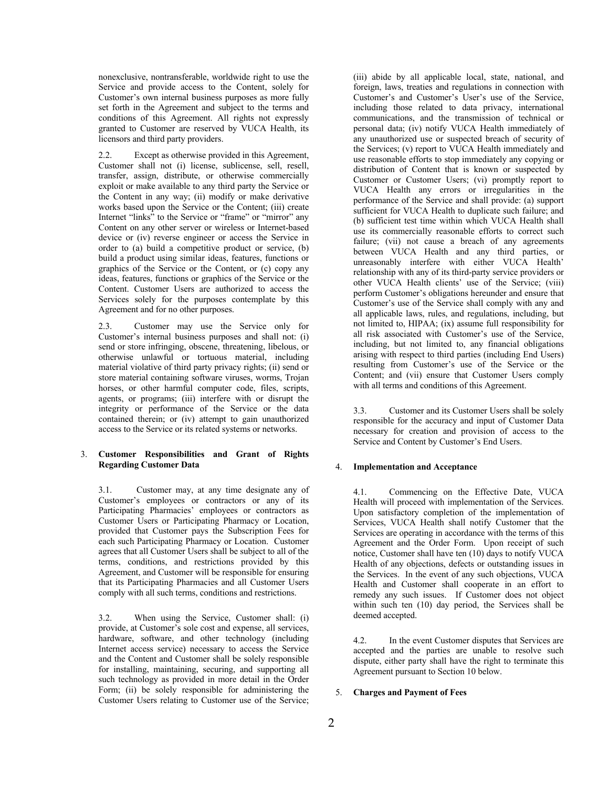nonexclusive, nontransferable, worldwide right to use the Service and provide access to the Content, solely for Customer's own internal business purposes as more fully set forth in the Agreement and subject to the terms and conditions of this Agreement. All rights not expressly granted to Customer are reserved by VUCA Health, its licensors and third party providers.

2.2. Except as otherwise provided in this Agreement, Customer shall not (i) license, sublicense, sell, resell, transfer, assign, distribute, or otherwise commercially exploit or make available to any third party the Service or the Content in any way; (ii) modify or make derivative works based upon the Service or the Content; (iii) create Internet "links" to the Service or "frame" or "mirror" any Content on any other server or wireless or Internet-based device or (iv) reverse engineer or access the Service in order to (a) build a competitive product or service, (b) build a product using similar ideas, features, functions or graphics of the Service or the Content, or (c) copy any ideas, features, functions or graphics of the Service or the Content. Customer Users are authorized to access the Services solely for the purposes contemplate by this Agreement and for no other purposes.

2.3. Customer may use the Service only for Customer's internal business purposes and shall not: (i) send or store infringing, obscene, threatening, libelous, or otherwise unlawful or tortuous material, including material violative of third party privacy rights; (ii) send or store material containing software viruses, worms, Trojan horses, or other harmful computer code, files, scripts, agents, or programs; (iii) interfere with or disrupt the integrity or performance of the Service or the data contained therein; or (iv) attempt to gain unauthorized access to the Service or its related systems or networks.

## 3. **Customer Responsibilities and Grant of Rights Regarding Customer Data**

3.1. Customer may, at any time designate any of Customer's employees or contractors or any of its Participating Pharmacies' employees or contractors as Customer Users or Participating Pharmacy or Location, provided that Customer pays the Subscription Fees for each such Participating Pharmacy or Location. Customer agrees that all Customer Users shall be subject to all of the terms, conditions, and restrictions provided by this Agreement, and Customer will be responsible for ensuring that its Participating Pharmacies and all Customer Users comply with all such terms, conditions and restrictions.

3.2. When using the Service, Customer shall: (i) provide, at Customer's sole cost and expense, all services, hardware, software, and other technology (including Internet access service) necessary to access the Service and the Content and Customer shall be solely responsible for installing, maintaining, securing, and supporting all such technology as provided in more detail in the Order Form; (ii) be solely responsible for administering the Customer Users relating to Customer use of the Service; (iii) abide by all applicable local, state, national, and foreign, laws, treaties and regulations in connection with Customer's and Customer's User's use of the Service, including those related to data privacy, international communications, and the transmission of technical or personal data; (iv) notify VUCA Health immediately of any unauthorized use or suspected breach of security of the Services; (v) report to VUCA Health immediately and use reasonable efforts to stop immediately any copying or distribution of Content that is known or suspected by Customer or Customer Users; (vi) promptly report to VUCA Health any errors or irregularities in the performance of the Service and shall provide: (a) support sufficient for VUCA Health to duplicate such failure; and (b) sufficient test time within which VUCA Health shall use its commercially reasonable efforts to correct such failure; (vii) not cause a breach of any agreements between VUCA Health and any third parties, or unreasonably interfere with either VUCA Health' relationship with any of its third-party service providers or other VUCA Health clients' use of the Service; (viii) perform Customer's obligations hereunder and ensure that Customer's use of the Service shall comply with any and all applicable laws, rules, and regulations, including, but not limited to, HIPAA; (ix) assume full responsibility for all risk associated with Customer's use of the Service, including, but not limited to, any financial obligations arising with respect to third parties (including End Users) resulting from Customer's use of the Service or the Content; and (vii) ensure that Customer Users comply with all terms and conditions of this Agreement.

3.3. Customer and its Customer Users shall be solely responsible for the accuracy and input of Customer Data necessary for creation and provision of access to the Service and Content by Customer's End Users.

### 4. **Implementation and Acceptance**

4.1. Commencing on the Effective Date, VUCA Health will proceed with implementation of the Services. Upon satisfactory completion of the implementation of Services, VUCA Health shall notify Customer that the Services are operating in accordance with the terms of this Agreement and the Order Form. Upon receipt of such notice, Customer shall have ten (10) days to notify VUCA Health of any objections, defects or outstanding issues in the Services. In the event of any such objections, VUCA Health and Customer shall cooperate in an effort to remedy any such issues. If Customer does not object within such ten (10) day period, the Services shall be deemed accepted.

4.2. In the event Customer disputes that Services are accepted and the parties are unable to resolve such dispute, either party shall have the right to terminate this Agreement pursuant to Section 10 below.

#### 5. **Charges and Payment of Fees**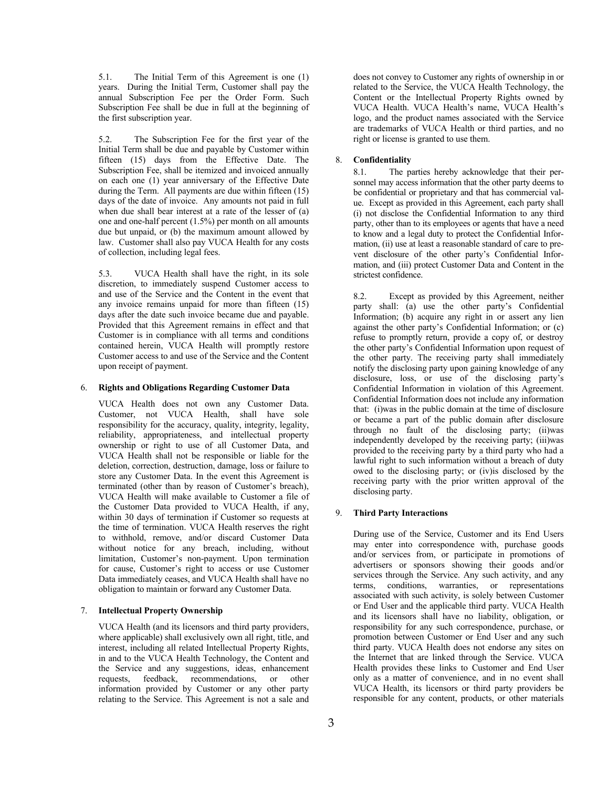5.1. The Initial Term of this Agreement is one (1) years. During the Initial Term, Customer shall pay the annual Subscription Fee per the Order Form. Such Subscription Fee shall be due in full at the beginning of the first subscription year.

5.2. The Subscription Fee for the first year of the Initial Term shall be due and payable by Customer within fifteen (15) days from the Effective Date. The Subscription Fee, shall be itemized and invoiced annually on each one (1) year anniversary of the Effective Date during the Term. All payments are due within fifteen (15) days of the date of invoice. Any amounts not paid in full when due shall bear interest at a rate of the lesser of (a) one and one-half percent (1.5%) per month on all amounts due but unpaid, or (b) the maximum amount allowed by law. Customer shall also pay VUCA Health for any costs of collection, including legal fees.

5.3. VUCA Health shall have the right, in its sole discretion, to immediately suspend Customer access to and use of the Service and the Content in the event that any invoice remains unpaid for more than fifteen (15) days after the date such invoice became due and payable. Provided that this Agreement remains in effect and that Customer is in compliance with all terms and conditions contained herein, VUCA Health will promptly restore Customer access to and use of the Service and the Content upon receipt of payment.

### 6. **Rights and Obligations Regarding Customer Data**

VUCA Health does not own any Customer Data. Customer, not VUCA Health, shall have sole responsibility for the accuracy, quality, integrity, legality, reliability, appropriateness, and intellectual property ownership or right to use of all Customer Data, and VUCA Health shall not be responsible or liable for the deletion, correction, destruction, damage, loss or failure to store any Customer Data. In the event this Agreement is terminated (other than by reason of Customer's breach), VUCA Health will make available to Customer a file of the Customer Data provided to VUCA Health, if any, within 30 days of termination if Customer so requests at the time of termination. VUCA Health reserves the right to withhold, remove, and/or discard Customer Data without notice for any breach, including, without limitation, Customer's non-payment. Upon termination for cause, Customer's right to access or use Customer Data immediately ceases, and VUCA Health shall have no obligation to maintain or forward any Customer Data.

### 7. **Intellectual Property Ownership**

VUCA Health (and its licensors and third party providers, where applicable) shall exclusively own all right, title, and interest, including all related Intellectual Property Rights, in and to the VUCA Health Technology, the Content and the Service and any suggestions, ideas, enhancement requests, feedback, recommendations, or other information provided by Customer or any other party relating to the Service. This Agreement is not a sale and does not convey to Customer any rights of ownership in or related to the Service, the VUCA Health Technology, the Content or the Intellectual Property Rights owned by VUCA Health. VUCA Health's name, VUCA Health's logo, and the product names associated with the Service are trademarks of VUCA Health or third parties, and no right or license is granted to use them.

#### 8. **Confidentiality**

8.1. The parties hereby acknowledge that their personnel may access information that the other party deems to be confidential or proprietary and that has commercial value. Except as provided in this Agreement, each party shall (i) not disclose the Confidential Information to any third party, other than to its employees or agents that have a need to know and a legal duty to protect the Confidential Information, (ii) use at least a reasonable standard of care to prevent disclosure of the other party's Confidential Information, and (iii) protect Customer Data and Content in the strictest confidence.

8.2. Except as provided by this Agreement, neither party shall: (a) use the other party's Confidential Information; (b) acquire any right in or assert any lien against the other party's Confidential Information; or (c) refuse to promptly return, provide a copy of, or destroy the other party's Confidential Information upon request of the other party. The receiving party shall immediately notify the disclosing party upon gaining knowledge of any disclosure, loss, or use of the disclosing party's Confidential Information in violation of this Agreement. Confidential Information does not include any information that: (i)was in the public domain at the time of disclosure or became a part of the public domain after disclosure through no fault of the disclosing party; (ii)was independently developed by the receiving party; (iii)was provided to the receiving party by a third party who had a lawful right to such information without a breach of duty owed to the disclosing party; or (iv)is disclosed by the receiving party with the prior written approval of the disclosing party.

### 9. **Third Party Interactions**

During use of the Service, Customer and its End Users may enter into correspondence with, purchase goods and/or services from, or participate in promotions of advertisers or sponsors showing their goods and/or services through the Service. Any such activity, and any terms, conditions, warranties, or representations associated with such activity, is solely between Customer or End User and the applicable third party. VUCA Health and its licensors shall have no liability, obligation, or responsibility for any such correspondence, purchase, or promotion between Customer or End User and any such third party. VUCA Health does not endorse any sites on the Internet that are linked through the Service. VUCA Health provides these links to Customer and End User only as a matter of convenience, and in no event shall VUCA Health, its licensors or third party providers be responsible for any content, products, or other materials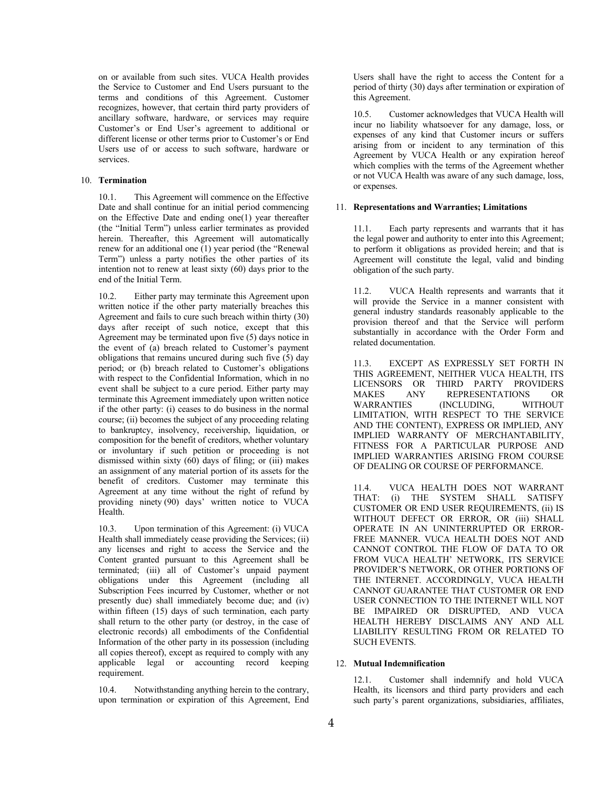on or available from such sites. VUCA Health provides the Service to Customer and End Users pursuant to the terms and conditions of this Agreement. Customer recognizes, however, that certain third party providers of ancillary software, hardware, or services may require Customer's or End User's agreement to additional or different license or other terms prior to Customer's or End Users use of or access to such software, hardware or services.

## 10. **Termination**

10.1. This Agreement will commence on the Effective Date and shall continue for an initial period commencing on the Effective Date and ending one(1) year thereafter (the "Initial Term") unless earlier terminates as provided herein. Thereafter, this Agreement will automatically renew for an additional one (1) year period (the "Renewal Term") unless a party notifies the other parties of its intention not to renew at least sixty (60) days prior to the end of the Initial Term.

10.2. Either party may terminate this Agreement upon written notice if the other party materially breaches this Agreement and fails to cure such breach within thirty (30) days after receipt of such notice, except that this Agreement may be terminated upon five (5) days notice in the event of (a) breach related to Customer's payment obligations that remains uncured during such five (5) day period; or (b) breach related to Customer's obligations with respect to the Confidential Information, which in no event shall be subject to a cure period. Either party may terminate this Agreement immediately upon written notice if the other party: (i) ceases to do business in the normal course; (ii) becomes the subject of any proceeding relating to bankruptcy, insolvency, receivership, liquidation, or composition for the benefit of creditors, whether voluntary or involuntary if such petition or proceeding is not dismissed within sixty  $(60)$  days of filing; or (iii) makes an assignment of any material portion of its assets for the benefit of creditors. Customer may terminate this Agreement at any time without the right of refund by providing ninety (90) days' written notice to VUCA Health.

10.3. Upon termination of this Agreement: (i) VUCA Health shall immediately cease providing the Services; (ii) any licenses and right to access the Service and the Content granted pursuant to this Agreement shall be terminated; (iii) all of Customer's unpaid payment obligations under this Agreement (including all Subscription Fees incurred by Customer, whether or not presently due) shall immediately become due; and (iv) within fifteen (15) days of such termination, each party shall return to the other party (or destroy, in the case of electronic records) all embodiments of the Confidential Information of the other party in its possession (including all copies thereof), except as required to comply with any applicable legal or accounting record keeping requirement.

10.4. Notwithstanding anything herein to the contrary, upon termination or expiration of this Agreement, End Users shall have the right to access the Content for a period of thirty (30) days after termination or expiration of this Agreement.

10.5. Customer acknowledges that VUCA Health will incur no liability whatsoever for any damage, loss, or expenses of any kind that Customer incurs or suffers arising from or incident to any termination of this Agreement by VUCA Health or any expiration hereof which complies with the terms of the Agreement whether or not VUCA Health was aware of any such damage, loss, or expenses.

## 11. **Representations and Warranties; Limitations**

11.1. Each party represents and warrants that it has the legal power and authority to enter into this Agreement; to perform it obligations as provided herein; and that is Agreement will constitute the legal, valid and binding obligation of the such party.

VUCA Health represents and warrants that it will provide the Service in a manner consistent with general industry standards reasonably applicable to the provision thereof and that the Service will perform substantially in accordance with the Order Form and related documentation.

11.3. EXCEPT AS EXPRESSLY SET FORTH IN THIS AGREEMENT, NEITHER VUCA HEALTH, ITS LICENSORS OR THIRD PARTY PROVIDERS MAKES ANY REPRESENTATIONS OR WARRANTIES (INCLUDING, WITHOUT LIMITATION, WITH RESPECT TO THE SERVICE AND THE CONTENT), EXPRESS OR IMPLIED, ANY IMPLIED WARRANTY OF MERCHANTABILITY, FITNESS FOR A PARTICULAR PURPOSE AND IMPLIED WARRANTIES ARISING FROM COURSE OF DEALING OR COURSE OF PERFORMANCE.

11.4. VUCA HEALTH DOES NOT WARRANT THAT: (i) THE SYSTEM SHALL SATISFY CUSTOMER OR END USER REQUIREMENTS, (ii) IS WITHOUT DEFECT OR ERROR, OR (iii) SHALL OPERATE IN AN UNINTERRUPTED OR ERROR-FREE MANNER. VUCA HEALTH DOES NOT AND CANNOT CONTROL THE FLOW OF DATA TO OR FROM VUCA HEALTH' NETWORK, ITS SERVICE PROVIDER'S NETWORK, OR OTHER PORTIONS OF THE INTERNET. ACCORDINGLY, VUCA HEALTH CANNOT GUARANTEE THAT CUSTOMER OR END USER CONNECTION TO THE INTERNET WILL NOT BE IMPAIRED OR DISRUPTED, AND VUCA HEALTH HEREBY DISCLAIMS ANY AND ALL LIABILITY RESULTING FROM OR RELATED TO SUCH EVENTS.

#### 12. **Mutual Indemnification**

12.1. Customer shall indemnify and hold VUCA Health, its licensors and third party providers and each such party's parent organizations, subsidiaries, affiliates,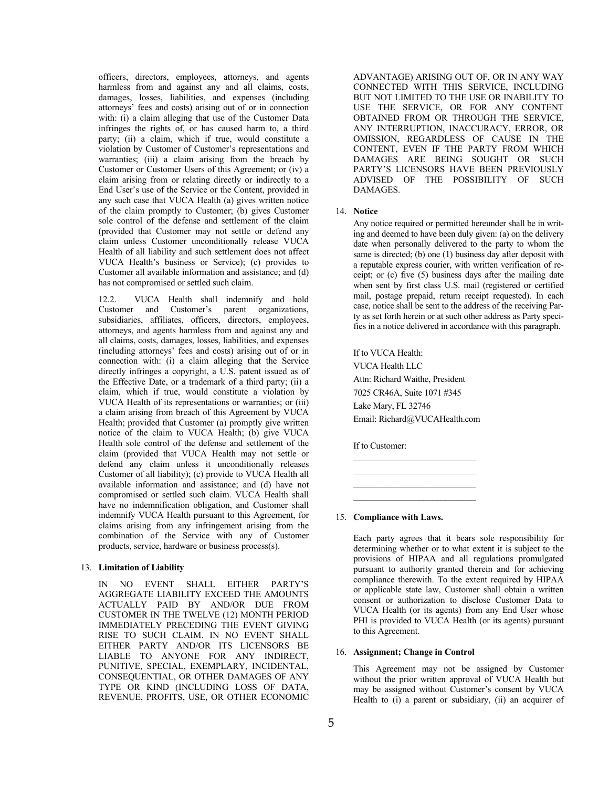officers, directors, employees, attorneys, and agents harmless from and against any and all claims, costs, damages, losses, liabilities, and expenses (including attorneys' fees and costs) arising out of or in connection with: (i) a claim alleging that use of the Customer Data infringes the rights of, or has caused harm to, a third party; (ii) a claim, which if true, would constitute a violation by Customer of Customer's representations and warranties; (iii) a claim arising from the breach by Customer or Customer Users of this Agreement; or (iv) a claim arising from or relating directly or indirectly to a End User's use of the Service or the Content, provided in any such case that VUCA Health (a) gives written notice of the claim promptly to Customer; (b) gives Customer sole control of the defense and settlement of the claim (provided that Customer may not settle or defend any claim unless Customer unconditionally release VUCA Health of all liability and such settlement does not affect VUCA Health's business or Service); (c) provides to Customer all available information and assistance; and (d) has not compromised or settled such claim.

12.2. VUCA Health shall indemnify and hold Customer and Customer's parent organizations, subsidiaries, affiliates, officers, directors, employees, attorneys, and agents harmless from and against any and all claims, costs, damages, losses, liabilities, and expenses (including attorneys' fees and costs) arising out of or in connection with: (i) a claim alleging that the Service directly infringes a copyright, a U.S. patent issued as of the Effective Date, or a trademark of a third party; (ii) a claim, which if true, would constitute a violation by VUCA Health of its representations or warranties; or (iii) a claim arising from breach of this Agreement by VUCA Health; provided that Customer (a) promptly give written notice of the claim to VUCA Health; (b) give VUCA Health sole control of the defense and settlement of the claim (provided that VUCA Health may not settle or defend any claim unless it unconditionally releases Customer of all liability); (c) provide to VUCA Health all available information and assistance; and (d) have not compromised or settled such claim. VUCA Health shall have no indemnification obligation, and Customer shall indemnify VUCA Health pursuant to this Agreement, for claims arising from any infringement arising from the combination of the Service with any of Customer products, service, hardware or business process(s).

#### 13. **Limitation of Liability**

IN NO EVENT SHALL EITHER PARTY'S AGGREGATE LIABILITY EXCEED THE AMOUNTS ACTUALLY PAID BY AND/OR DUE FROM CUSTOMER IN THE TWELVE (12) MONTH PERIOD IMMEDIATELY PRECEDING THE EVENT GIVING RISE TO SUCH CLAIM. IN NO EVENT SHALL EITHER PARTY AND/OR ITS LICENSORS BE LIABLE TO ANYONE FOR ANY INDIRECT, PUNITIVE, SPECIAL, EXEMPLARY, INCIDENTAL, CONSEQUENTIAL, OR OTHER DAMAGES OF ANY TYPE OR KIND (INCLUDING LOSS OF DATA, REVENUE, PROFITS, USE, OR OTHER ECONOMIC

ADVANTAGE) ARISING OUT OF, OR IN ANY WAY CONNECTED WITH THIS SERVICE, INCLUDING BUT NOT LIMITED TO THE USE OR INABILITY TO USE THE SERVICE, OR FOR ANY CONTENT OBTAINED FROM OR THROUGH THE SERVICE, ANY INTERRUPTION, INACCURACY, ERROR, OR OMISSION, REGARDLESS OF CAUSE IN THE CONTENT, EVEN IF THE PARTY FROM WHICH DAMAGES ARE BEING SOUGHT OR SUCH PARTY'S LICENSORS HAVE BEEN PREVIOUSLY ADVISED OF THE POSSIBILITY OF SUCH DAMAGES.

#### 14. **Notice**

Any notice required or permitted hereunder shall be in writing and deemed to have been duly given: (a) on the delivery date when personally delivered to the party to whom the same is directed; (b) one (1) business day after deposit with a reputable express courier, with written verification of receipt; or (c) five (5) business days after the mailing date when sent by first class U.S. mail (registered or certified mail, postage prepaid, return receipt requested). In each case, notice shall be sent to the address of the receiving Party as set forth herein or at such other address as Party specifies in a notice delivered in accordance with this paragraph.

If to VUCA Health: VUCA Health LLC Attn: Richard Waithe, President 7025 CR46A, Suite 1071 #345 Lake Mary, FL 32746 Email: Richard@VUCAHealth.com

 $\mathcal{L}_\text{max}$ 

If to Customer:

#### 15. **Compliance with Laws.**

Each party agrees that it bears sole responsibility for determining whether or to what extent it is subject to the provisions of HIPAA and all regulations promulgated pursuant to authority granted therein and for achieving compliance therewith. To the extent required by HIPAA or applicable state law, Customer shall obtain a written consent or authorization to disclose Customer Data to VUCA Health (or its agents) from any End User whose PHI is provided to VUCA Health (or its agents) pursuant to this Agreement.

#### 16. **Assignment; Change in Control**

This Agreement may not be assigned by Customer without the prior written approval of VUCA Health but may be assigned without Customer's consent by VUCA Health to (i) a parent or subsidiary, (ii) an acquirer of